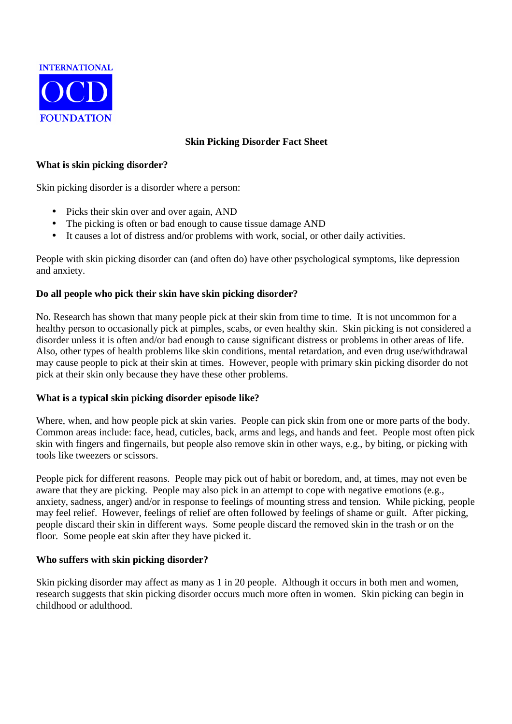

# **Skin Picking Disorder Fact Sheet**

### **What is skin picking disorder?**

Skin picking disorder is a disorder where a person:

- Picks their skin over and over again, AND
- The picking is often or bad enough to cause tissue damage AND
- It causes a lot of distress and/or problems with work, social, or other daily activities.

People with skin picking disorder can (and often do) have other psychological symptoms, like depression and anxiety.

### **Do all people who pick their skin have skin picking disorder?**

No. Research has shown that many people pick at their skin from time to time. It is not uncommon for a healthy person to occasionally pick at pimples, scabs, or even healthy skin. Skin picking is not considered a disorder unless it is often and/or bad enough to cause significant distress or problems in other areas of life. Also, other types of health problems like skin conditions, mental retardation, and even drug use/withdrawal may cause people to pick at their skin at times. However, people with primary skin picking disorder do not pick at their skin only because they have these other problems.

### **What is a typical skin picking disorder episode like?**

Where, when, and how people pick at skin varies. People can pick skin from one or more parts of the body. Common areas include: face, head, cuticles, back, arms and legs, and hands and feet. People most often pick skin with fingers and fingernails, but people also remove skin in other ways, e.g., by biting, or picking with tools like tweezers or scissors.

People pick for different reasons. People may pick out of habit or boredom, and, at times, may not even be aware that they are picking. People may also pick in an attempt to cope with negative emotions (e.g., anxiety, sadness, anger) and/or in response to feelings of mounting stress and tension. While picking, people may feel relief. However, feelings of relief are often followed by feelings of shame or guilt. After picking, people discard their skin in different ways. Some people discard the removed skin in the trash or on the floor. Some people eat skin after they have picked it.

### **Who suffers with skin picking disorder?**

Skin picking disorder may affect as many as 1 in 20 people. Although it occurs in both men and women, research suggests that skin picking disorder occurs much more often in women. Skin picking can begin in childhood or adulthood.